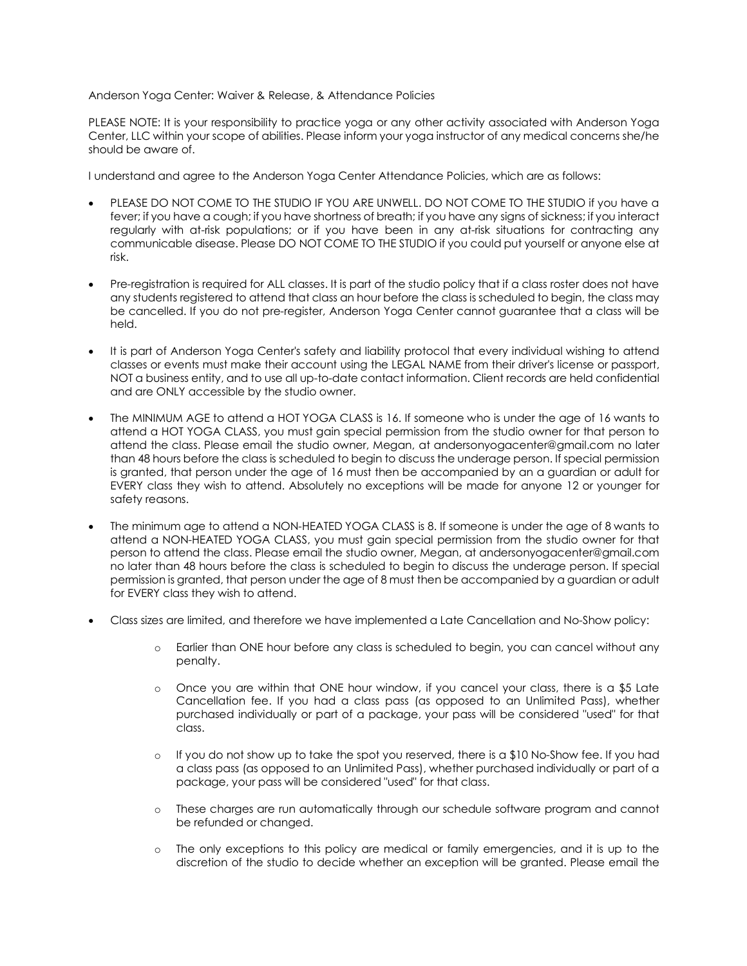## Anderson Yoga Center: Waiver & Release, & Attendance Policies

PLEASE NOTE: It is your responsibility to practice yoga or any other activity associated with Anderson Yoga Center, LLC within your scope of abilities. Please inform your yoga instructor of any medical concerns she/he should be aware of.

I understand and agree to the Anderson Yoga Center Attendance Policies, which are as follows:

- PLEASE DO NOT COME TO THE STUDIO IF YOU ARE UNWELL. DO NOT COME TO THE STUDIO if you have a fever; if you have a cough; if you have shortness of breath; if you have any signs of sickness; if you interact regularly with at-risk populations; or if you have been in any at-risk situations for contracting any communicable disease. Please DO NOT COME TO THE STUDIO if you could put yourself or anyone else at risk.
- Pre-registration is required for ALL classes. It is part of the studio policy that if a class roster does not have any students registered to attend that class an hour before the class is scheduled to begin, the class may be cancelled. If you do not pre-register, Anderson Yoga Center cannot guarantee that a class will be held.
- It is part of Anderson Yoga Center's safety and liability protocol that every individual wishing to attend classes or events must make their account using the LEGAL NAME from their driver's license or passport, NOT a business entity, and to use all up-to-date contact information. Client records are held confidential and are ONLY accessible by the studio owner.
- The MINIMUM AGE to attend a HOT YOGA CLASS is 16. If someone who is under the age of 16 wants to attend a HOT YOGA CLASS, you must gain special permission from the studio owner for that person to attend the class. Please email the studio owner, Megan, at andersonyogacenter@gmail.com no later than 48 hours before the class is scheduled to begin to discuss the underage person. If special permission is granted, that person under the age of 16 must then be accompanied by an a guardian or adult for EVERY class they wish to attend. Absolutely no exceptions will be made for anyone 12 or younger for safety reasons.
- The minimum age to attend a NON-HEATED YOGA CLASS is 8. If someone is under the age of 8 wants to attend a NON-HEATED YOGA CLASS, you must gain special permission from the studio owner for that person to attend the class. Please email the studio owner, Megan, at andersonyogacenter@gmail.com no later than 48 hours before the class is scheduled to begin to discuss the underage person. If special permission is granted, that person under the age of 8 must then be accompanied by a guardian or adult for EVERY class they wish to attend.
- Class sizes are limited, and therefore we have implemented a Late Cancellation and No-Show policy:
	- o Earlier than ONE hour before any class is scheduled to begin, you can cancel without any penalty.
	- $\circ$  Once you are within that ONE hour window, if you cancel your class, there is a \$5 Late Cancellation fee. If you had a class pass (as opposed to an Unlimited Pass), whether purchased individually or part of a package, your pass will be considered "used" for that class.
	- $\circ$  If you do not show up to take the spot you reserved, there is a \$10 No-Show fee. If you had a class pass (as opposed to an Unlimited Pass), whether purchased individually or part of a package, your pass will be considered "used" for that class.
	- o These charges are run automatically through our schedule software program and cannot be refunded or changed.
	- o The only exceptions to this policy are medical or family emergencies, and it is up to the discretion of the studio to decide whether an exception will be granted. Please email the